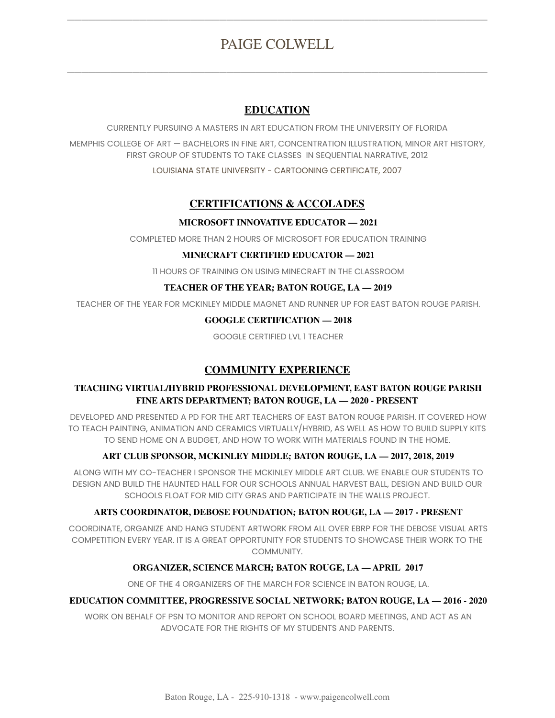# PAIGE COLWELL

 $\overline{\phantom{a}}$  , and the contribution of  $\overline{\phantom{a}}$  , and  $\overline{\phantom{a}}$  , and  $\overline{\phantom{a}}$  , and  $\overline{\phantom{a}}$  , and  $\overline{\phantom{a}}$ 

 $\overline{\phantom{a}}$  , and the contribution of  $\overline{\phantom{a}}$  , and  $\overline{\phantom{a}}$  , and  $\overline{\phantom{a}}$  , and  $\overline{\phantom{a}}$  , and  $\overline{\phantom{a}}$ 

# **EDUCATION**

CURRENTLY PURSUING A MASTERS IN ART EDUCATION FROM THE UNIVERSITY OF FLORIDA

MEMPHIS COLLEGE OF ART — BACHELORS IN FINE ART, CONCENTRATION ILLUSTRATION, MINOR ART HISTORY, FIRST GROUP OF STUDENTS TO TAKE CLASSES IN SEQUENTIAL NARRATIVE, 2012

LOUISIANA STATE UNIVERSITY - CARTOONING CERTIFICATE, 2007

# **CERTIFICATIONS & ACCOLADES**

#### **MICROSOFT INNOVATIVE EDUCATOR — 2021**

COMPLETED MORE THAN 2 HOURS OF MICROSOFT FOR EDUCATION TRAINING

#### **MINECRAFT CERTIFIED EDUCATOR — 2021**

11 HOURS OF TRAINING ON USING MINECRAFT IN THE CLASSROOM

#### **TEACHER OF THE YEAR; BATON ROUGE, LA — 2019**

TEACHER OF THE YEAR FOR MCKINLEY MIDDLE MAGNET AND RUNNER UP FOR EAST BATON ROUGE PARISH.

#### **GOOGLE CERTIFICATION — 2018**

GOOGLE CERTIFIED LVL 1 TEACHER

# **COMMUNITY EXPERIENCE**

#### **TEACHING VIRTUAL/HYBRID PROFESSIONAL DEVELOPMENT, EAST BATON ROUGE PARISH FINE ARTS DEPARTMENT; BATON ROUGE, LA — 2020 - PRESENT**

DEVELOPED AND PRESENTED A PD FOR THE ART TEACHERS OF EAST BATON ROUGE PARISH. IT COVERED HOW TO TEACH PAINTING, ANIMATION AND CERAMICS VIRTUALLY/HYBRID, AS WELL AS HOW TO BUILD SUPPLY KITS TO SEND HOME ON A BUDGET, AND HOW TO WORK WITH MATERIALS FOUND IN THE HOME.

## **ART CLUB SPONSOR, MCKINLEY MIDDLE; BATON ROUGE, LA — 2017, 2018, 2019**

ALONG WITH MY CO-TEACHER I SPONSOR THE MCKINLEY MIDDLE ART CLUB. WE ENABLE OUR STUDENTS TO DESIGN AND BUILD THE HAUNTED HALL FOR OUR SCHOOLS ANNUAL HARVEST BALL, DESIGN AND BUILD OUR SCHOOLS FLOAT FOR MID CITY GRAS AND PARTICIPATE IN THE WALLS PROJECT.

#### **ARTS COORDINATOR, DEBOSE FOUNDATION; BATON ROUGE, LA — 2017 - PRESENT**

COORDINATE, ORGANIZE AND HANG STUDENT ARTWORK FROM ALL OVER EBRP FOR THE DEBOSE VISUAL ARTS COMPETITION EVERY YEAR. IT IS A GREAT OPPORTUNITY FOR STUDENTS TO SHOWCASE THEIR WORK TO THE COMMUNITY.

## **ORGANIZER, SCIENCE MARCH; BATON ROUGE, LA — APRIL 2017**

ONE OF THE 4 ORGANIZERS OF THE MARCH FOR SCIENCE IN BATON ROUGE, LA.

#### **EDUCATION COMMITTEE, PROGRESSIVE SOCIAL NETWORK; BATON ROUGE, LA — 2016 - 2020**

WORK ON BEHALF OF PSN TO MONITOR AND REPORT ON SCHOOL BOARD MEETINGS, AND ACT AS AN ADVOCATE FOR THE RIGHTS OF MY STUDENTS AND PARENTS.